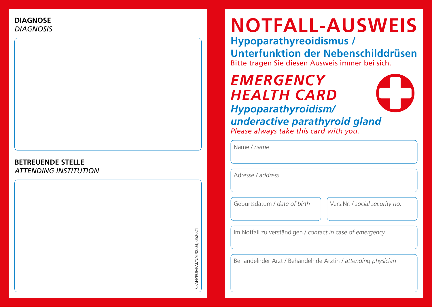### **BETREUENDE STELLE** *ATTENDING INSTITUTION*

# C-ANPROMART/NAT/0003, 052021 C-ANPROM/AT/NAT/0003, 052021

## **NOTFALL-AUSWEIS**

**Hypoparathyreoidismus /** 

**Unterfunktion der Nebenschilddrüsen** Bitte tragen Sie diesen Ausweis immer bei sich.

### *EMERGENCY HEALTH CARD Hypoparathyroidism/ underactive parathyroid gland Please always take this card with you.*

Name / *name*

Adresse / *address*

Geburtsdatum / *date of birth* Vers.Nr. / *social security no.*

Im Notfall zu verständigen / *contact in case of emergency*

Behandelnder Arzt / Behandelnde Ärztin / *attending physician*